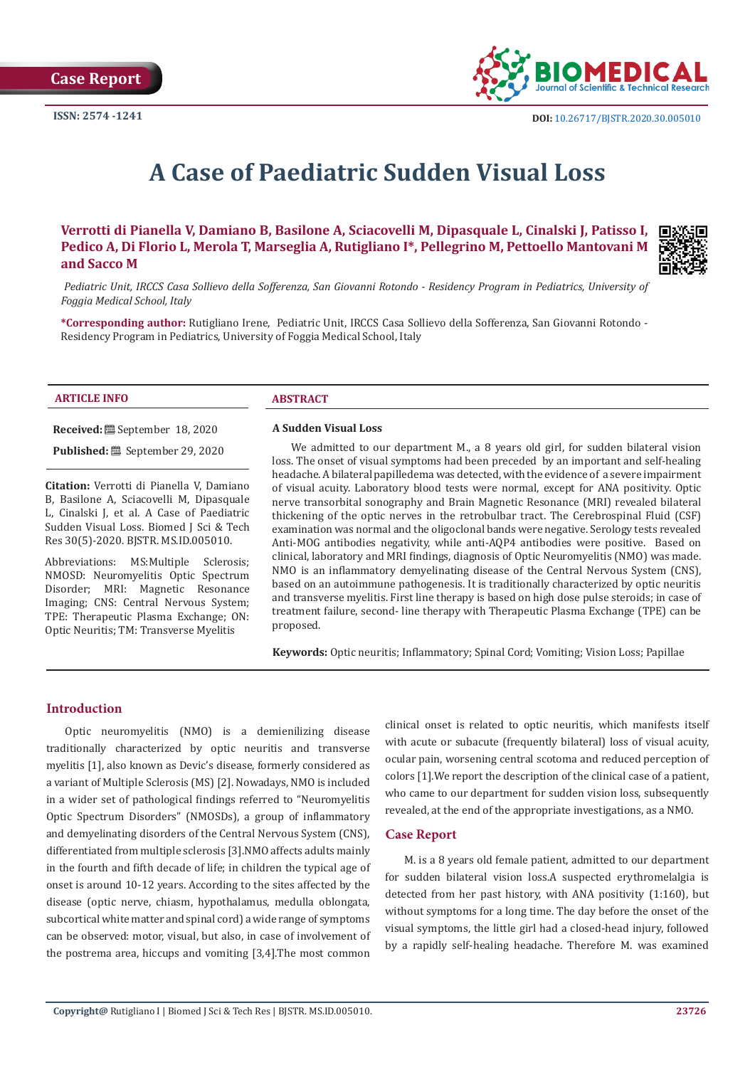

# **A Case of Paediatric Sudden Visual Loss**

**Verrotti di Pianella V, Damiano B, Basilone A, Sciacovelli M, Dipasquale L, Cinalski J, Patisso I, Pedico A, Di Florio L, Merola T, Marseglia A, Rutigliano I\*, Pellegrino M, Pettoello Mantovani M and Sacco M**



 *Pediatric Unit, IRCCS Casa Sollievo della Sofferenza, San Giovanni Rotondo - Residency Program in Pediatrics, University of Foggia Medical School, Italy*

**\*Corresponding author:** Rutigliano Irene, Pediatric Unit, IRCCS Casa Sollievo della Sofferenza, San Giovanni Rotondo - Residency Program in Pediatrics, University of Foggia Medical School, Italy

### **ARTICLE INFO ABSTRACT**

**Received:** September 18, 2020

**Published:** September 29, 2020

**Citation:** Verrotti di Pianella V, Damiano B, Basilone A, Sciacovelli M, Dipasquale L, Cinalski J, et al. A Case of Paediatric Sudden Visual Loss. Biomed J Sci & Tech Res 30(5)-2020. BJSTR. MS.ID.005010.

Abbreviations: MS:Multiple Sclerosis; NMOSD: Neuromyelitis Optic Spectrum Disorder; MRI: Magnetic Resonance Imaging; CNS: Central Nervous System; TPE: Therapeutic Plasma Exchange; ON: Optic Neuritis; TM: Transverse Myelitis

#### **A Sudden Visual Loss**

We admitted to our department M., a 8 years old girl, for sudden bilateral vision loss. The onset of visual symptoms had been preceded by an important and self-healing headache. A bilateral papilledema was detected, with the evidence of a severe impairment of visual acuity. Laboratory blood tests were normal, except for ANA positivity. Optic nerve transorbital sonography and Brain Magnetic Resonance (MRI) revealed bilateral thickening of the optic nerves in the retrobulbar tract. The Cerebrospinal Fluid (CSF) examination was normal and the oligoclonal bands were negative. Serology tests revealed Anti-MOG antibodies negativity, while anti-AQP4 antibodies were positive. Based on clinical, laboratory and MRI findings, diagnosis of Optic Neuromyelitis (NMO) was made. NMO is an inflammatory demyelinating disease of the Central Nervous System (CNS), based on an autoimmune pathogenesis. It is traditionally characterized by optic neuritis and transverse myelitis. First line therapy is based on high dose pulse steroids; in case of treatment failure, second- line therapy with Therapeutic Plasma Exchange (TPE) can be proposed.

**Keywords:** Optic neuritis; Inflammatory; Spinal Cord; Vomiting; Vision Loss; Papillae

### **Introduction**

Optic neuromyelitis (NMO) is a demienilizing disease traditionally characterized by optic neuritis and transverse myelitis [1], also known as Devic's disease, formerly considered as a variant of Multiple Sclerosis (MS) [2]. Nowadays, NMO is included in a wider set of pathological findings referred to "Neuromyelitis Optic Spectrum Disorders" (NMOSDs), a group of inflammatory and demyelinating disorders of the Central Nervous System (CNS), differentiated from multiple sclerosis [3].NMO affects adults mainly in the fourth and fifth decade of life; in children the typical age of onset is around 10-12 years. According to the sites affected by the disease (optic nerve, chiasm, hypothalamus, medulla oblongata, subcortical white matter and spinal cord) a wide range of symptoms can be observed: motor, visual, but also, in case of involvement of the postrema area, hiccups and vomiting [3,4].The most common

clinical onset is related to optic neuritis, which manifests itself with acute or subacute (frequently bilateral) loss of visual acuity, ocular pain, worsening central scotoma and reduced perception of colors [1].We report the description of the clinical case of a patient, who came to our department for sudden vision loss, subsequently revealed, at the end of the appropriate investigations, as a NMO.

## **Case Report**

M. is a 8 years old female patient, admitted to our department for sudden bilateral vision loss.A suspected erythromelalgia is detected from her past history, with ANA positivity (1:160), but without symptoms for a long time. The day before the onset of the visual symptoms, the little girl had a closed-head injury, followed by a rapidly self-healing headache. Therefore M. was examined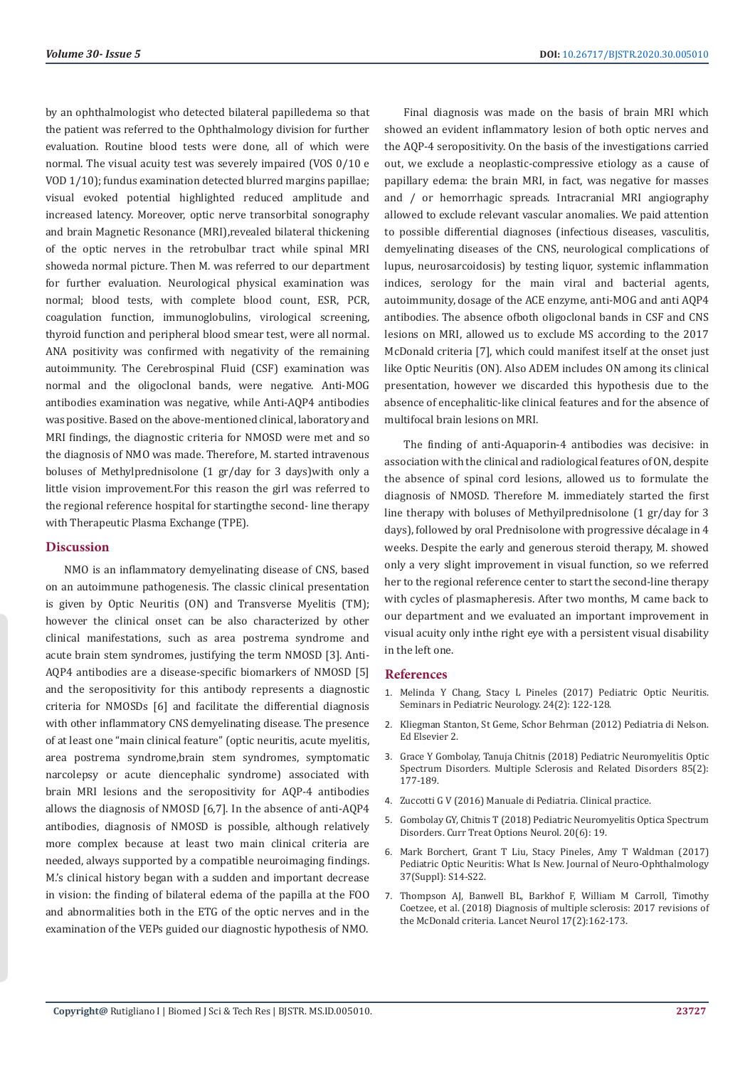by an ophthalmologist who detected bilateral papilledema so that the patient was referred to the Ophthalmology division for further evaluation. Routine blood tests were done, all of which were normal. The visual acuity test was severely impaired (VOS 0/10 e VOD 1/10); fundus examination detected blurred margins papillae; visual evoked potential highlighted reduced amplitude and increased latency. Moreover, optic nerve transorbital sonography and brain Magnetic Resonance (MRI),revealed bilateral thickening of the optic nerves in the retrobulbar tract while spinal MRI showeda normal picture. Then M. was referred to our department for further evaluation. Neurological physical examination was normal; blood tests, with complete blood count, ESR, PCR, coagulation function, immunoglobulins, virological screening, thyroid function and peripheral blood smear test, were all normal. ANA positivity was confirmed with negativity of the remaining autoimmunity. The Cerebrospinal Fluid (CSF) examination was normal and the oligoclonal bands, were negative. Anti-MOG antibodies examination was negative, while Anti-AQP4 antibodies was positive. Based on the above-mentioned clinical, laboratory and MRI findings, the diagnostic criteria for NMOSD were met and so the diagnosis of NMO was made. Therefore, M. started intravenous boluses of Methylprednisolone (1 gr/day for 3 days)with only a little vision improvement.For this reason the girl was referred to the regional reference hospital for startingthe second- line therapy with Therapeutic Plasma Exchange (TPE).

# **Discussion**

NMO is an inflammatory demyelinating disease of CNS, based on an autoimmune pathogenesis. The classic clinical presentation is given by Optic Neuritis (ON) and Transverse Myelitis (TM); however the clinical onset can be also characterized by other clinical manifestations, such as area postrema syndrome and acute brain stem syndromes, justifying the term NMOSD [3]. Anti-AQP4 antibodies are a disease-specific biomarkers of NMOSD [5] and the seropositivity for this antibody represents a diagnostic criteria for NMOSDs [6] and facilitate the differential diagnosis with other inflammatory CNS demyelinating disease. The presence of at least one "main clinical feature" (optic neuritis, acute myelitis, area postrema syndrome,brain stem syndromes, symptomatic narcolepsy or acute diencephalic syndrome) associated with brain MRI lesions and the seropositivity for AQP-4 antibodies allows the diagnosis of NMOSD [6,7]. In the absence of anti-AQP4 antibodies, diagnosis of NMOSD is possible, although relatively more complex because at least two main clinical criteria are needed, always supported by a compatible neuroimaging findings. M.'s clinical history began with a sudden and important decrease in vision: the finding of bilateral edema of the papilla at the FOO and abnormalities both in the ETG of the optic nerves and in the coelizee, et al. (2018) Diagnosis of multiple sciences<br>the VEDs guided our diagnostic humathosis of NMO examination of the VEPs guided our diagnostic hypothesis of NMO.

Final diagnosis was made on the basis of brain MRI which showed an evident inflammatory lesion of both optic nerves and the AQP-4 seropositivity. On the basis of the investigations carried out, we exclude a neoplastic-compressive etiology as a cause of papillary edema: the brain MRI, in fact, was negative for masses and / or hemorrhagic spreads. Intracranial MRI angiography allowed to exclude relevant vascular anomalies. We paid attention to possible differential diagnoses (infectious diseases, vasculitis, demyelinating diseases of the CNS, neurological complications of lupus, neurosarcoidosis) by testing liquor, systemic inflammation indices, serology for the main viral and bacterial agents, autoimmunity, dosage of the ACE enzyme, anti-MOG and anti AQP4 antibodies. The absence ofboth oligoclonal bands in CSF and CNS lesions on MRI, allowed us to exclude MS according to the 2017 McDonald criteria [7], which could manifest itself at the onset just like Optic Neuritis (ON). Also ADEM includes ON among its clinical presentation, however we discarded this hypothesis due to the absence of encephalitic-like clinical features and for the absence of multifocal brain lesions on MRI.

The finding of anti-Aquaporin-4 antibodies was decisive: in association with the clinical and radiological features of ON, despite the absence of spinal cord lesions, allowed us to formulate the diagnosis of NMOSD. Therefore M. immediately started the first line therapy with boluses of Methyilprednisolone (1 gr/day for 3 days), followed by oral Prednisolone with progressive décalage in 4 weeks. Despite the early and generous steroid therapy, M. showed only a very slight improvement in visual function, so we referred her to the regional reference center to start the second-line therapy with cycles of plasmapheresis. After two months, M came back to our department and we evaluated an important improvement in visual acuity only inthe right eye with a persistent visual disability in the left one.

### **References**

- 1. [Melinda Y Chang, Stacy L Pineles \(2017\) Pediatric Optic Neuritis.](https://www.sciencedirect.com/science/article/abs/pii/S1071909117300645) [Seminars in Pediatric Neurology. 24\(2\): 122-128.](https://www.sciencedirect.com/science/article/abs/pii/S1071909117300645)
- 2. Kliegman Stanton, St Geme, Schor Behrman (2012) Pediatria di Nelson. Ed Elsevier 2.
- 3. Grace Y Gombolay, Tanuja Chitnis (2018) Pediatric Neuromyelitis Optic Spectrum Disorders. Multiple Sclerosis and Related Disorders 85(2): 177-189.
- 4. [Zuccotti G V \(2016\) Manuale di Pediatria. Clinical practice.](https://books.google.co.in/books/about/Manuale_di_Pediatria_La_Pratica_Clinica.html?id=KA7RDAAAQBAJ&redir_esc=y)
- 5. [Gombolay GY, Chitnis T \(2018\) Pediatric Neuromyelitis Optica Spectrum](https://pubmed.ncbi.nlm.nih.gov/29721683/) [Disorders. Curr Treat Options Neurol. 20\(6\): 19.](https://pubmed.ncbi.nlm.nih.gov/29721683/)
- 6. [Mark Borchert, Grant T Liu, Stacy Pineles, Amy T Waldman \(2017\)](https://pubmed.ncbi.nlm.nih.gov/28806345/) [Pediatric Optic Neuritis: What Is New. Journal of Neuro-Ophthalmology](https://pubmed.ncbi.nlm.nih.gov/28806345/) [37\(Suppl\): S14-S22.](https://pubmed.ncbi.nlm.nih.gov/28806345/)
- 7. Thompson AJ, Banwell BL, Barkhof F, William M Carroll, Timothy Coetzee, et al. (2018) Diagnosis of multiple sclerosis: 2017 revisions of the McDonald criteria. Lancet Neurol 17(2):162-173.